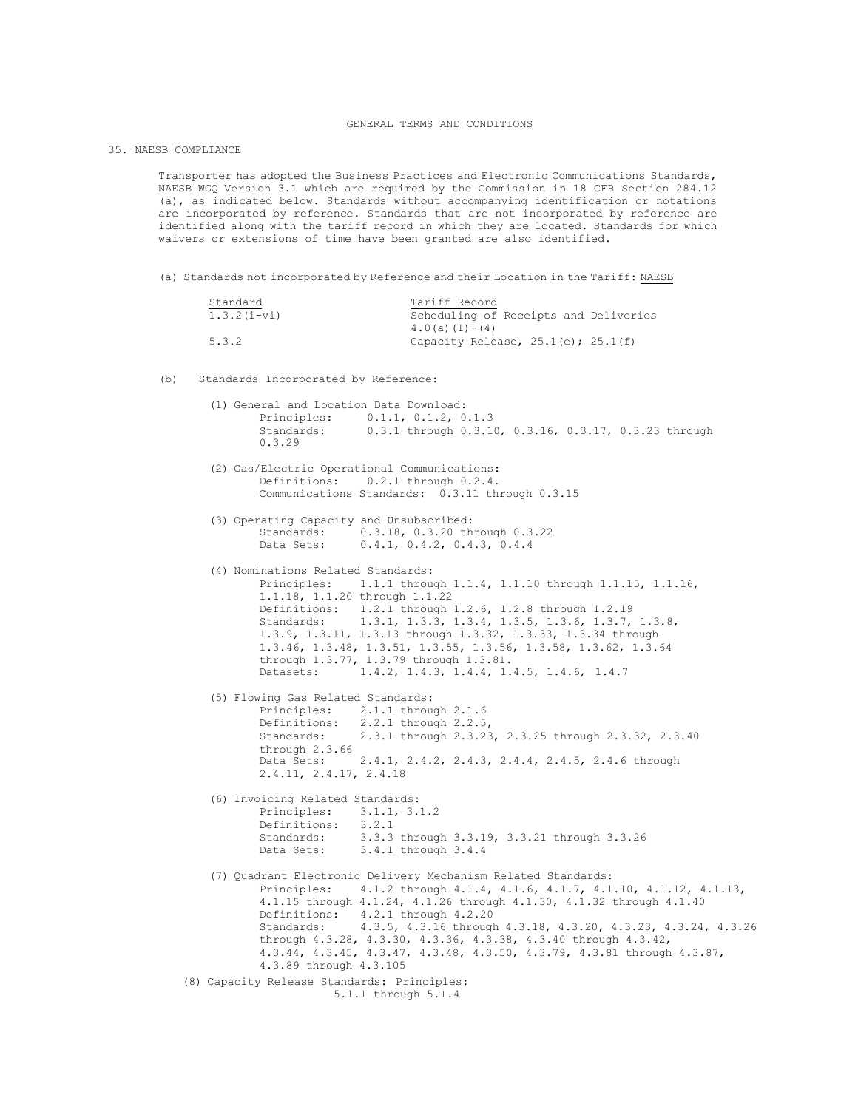## GENERAL TERMS AND CONDITIONS

35. NAESB COMPLIANCE

Transporter has adopted the Business Practices and Electronic Communications Standards, NAESB WGQ Version 3.1 which are required by the Commission in 18 CFR Section 284.12 (a), as indicated below. Standards without accompanying identification or notations are incorporated by reference. Standards that are not incorporated by reference are identified along with the tariff record in which they are located. Standards for which waivers or extensions of time have been granted are also identified.

(a) Standards not incorporated by Reference and their Location in the Tariff: NAESB

| Standard      | Tariff Record                           |
|---------------|-----------------------------------------|
| $1.3.2(i-vi)$ | Scheduling of Receipts and Deliveries   |
|               | $4.0(a)(1)-(4)$                         |
| 5.3.2         | Capacity Release, $25.1(e)$ ; $25.1(f)$ |

(b) Standards Incorporated by Reference:

|  | (1) General and Location Data Download:<br>Principles: 0.1.1, 0.1.2, 0.1.3<br>0.3.1 through 0.3.10, 0.3.16, 0.3.17, 0.3.23 through<br>Standards:                                                                                                                                                                                                                                                                                                                                                     |
|--|------------------------------------------------------------------------------------------------------------------------------------------------------------------------------------------------------------------------------------------------------------------------------------------------------------------------------------------------------------------------------------------------------------------------------------------------------------------------------------------------------|
|  | 0.3.29                                                                                                                                                                                                                                                                                                                                                                                                                                                                                               |
|  | (2) Gas/Electric Operational Communications:<br>Definitions: 0.2.1 through 0.2.4.<br>Communications Standards: 0.3.11 through 0.3.15                                                                                                                                                                                                                                                                                                                                                                 |
|  | (3) Operating Capacity and Unsubscribed:<br>Standards: 0.3.18, 0.3.20 through 0.3.22<br>Data Sets:<br>0.4.1, 0.4.2, 0.4.3, 0.4.4                                                                                                                                                                                                                                                                                                                                                                     |
|  | (4) Nominations Related Standards:<br>Principles: 1.1.1 through 1.1.4, 1.1.10 through 1.1.15, 1.1.16,<br>1.1.18, 1.1.20 through 1.1.22<br>Definitions: 1.2.1 through 1.2.6, 1.2.8 through 1.2.19<br>Standards: 1.3.1, 1.3.3, 1.3.4, 1.3.5, 1.3.6, 1.3.7, 1.3.8,<br>1.3.9, 1.3.11, 1.3.13 through 1.3.32, 1.3.33, 1.3.34 through<br>1.3.46, 1.3.48, 1.3.51, 1.3.55, 1.3.56, 1.3.58, 1.3.62, 1.3.64<br>through 1.3.77, 1.3.79 through 1.3.81.<br>Datasets: 1.4.2, 1.4.3, 1.4.4, 1.4.5, 1.4.6, 1.4.7    |
|  | (5) Flowing Gas Related Standards:<br>Principles: 2.1.1 through 2.1.6<br>Definitions: 2.2.1 through 2.2.5,<br>Standards: 2.3.1 through 2.3.23, 2.3.25 through 2.3.32, 2.3.40<br>through $2.3.66$<br>Data Sets: 2.4.1, 2.4.2, 2.4.3, 2.4.4, 2.4.5, 2.4.6 through<br>2.4.11, 2.4.17, 2.4.18                                                                                                                                                                                                            |
|  | (6) Invoicing Related Standards:<br>Principles: 3.1.1, 3.1.2<br>Definitions: 3.2.1<br>Standards: 3.3.3 through 3.3.19, 3.3.21 through 3.3.26<br>Data Sets: 3.4.1 through 3.4.4                                                                                                                                                                                                                                                                                                                       |
|  | (7) Quadrant Electronic Delivery Mechanism Related Standards:<br>Principles: 4.1.2 through 4.1.4, 4.1.6, 4.1.7, 4.1.10, 4.1.12, 4.1.13,<br>4.1.15 through 4.1.24, 4.1.26 through 4.1.30, 4.1.32 through 4.1.40<br>Definitions: 4.2.1 through 4.2.20<br>Standards: 4.3.5, 4.3.16 through 4.3.18, 4.3.20, 4.3.23, 4.3.24, 4.3.26<br>through 4.3.28, 4.3.30, 4.3.36, 4.3.38, 4.3.40 through 4.3.42,<br>4.3.44, 4.3.45, 4.3.47, 4.3.48, 4.3.50, 4.3.79, 4.3.81 through 4.3.87,<br>4.3.89 through 4.3.105 |
|  | (8) Capacity Release Standards: Principles:<br>5.1.1 through 5.1.4                                                                                                                                                                                                                                                                                                                                                                                                                                   |